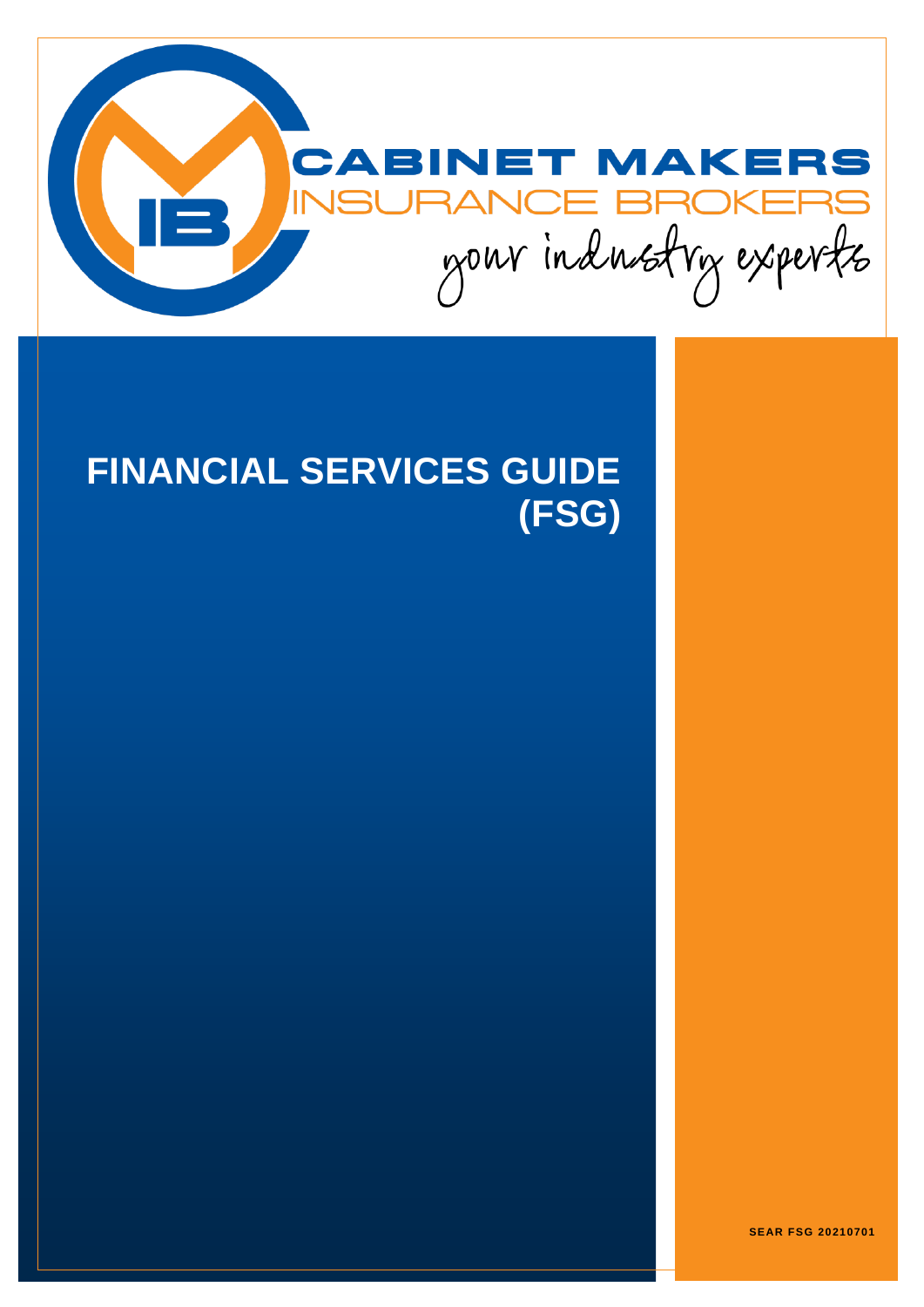

# **FINANCIAL SERVICES GUIDE (FSG)**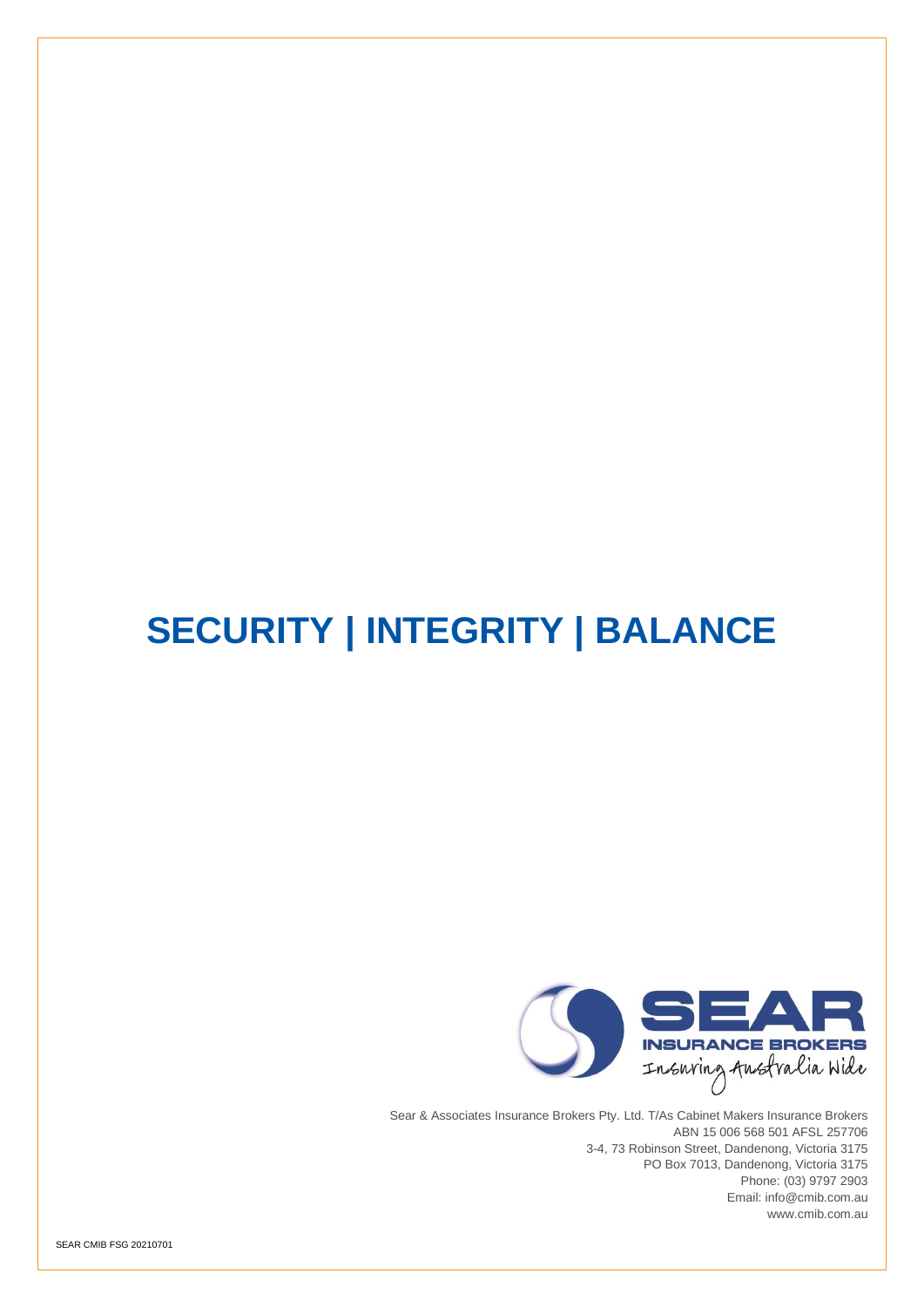## **SECURITY | INTEGRITY | BALANCE**



Sear & Associates Insurance Brokers Pty. Ltd. T/As Cabinet Makers Insurance Brokers ABN 15 006 568 501 AFSL 257706 3-4, 73 Robinson Street, Dandenong, Victoria 3175 PO Box 7013, Dandenong, Victoria 3175 Phone: (03) 9797 2903 Email: [info@cmib.com.au](mailto:info@cmib.com.au) www.cmib.com.au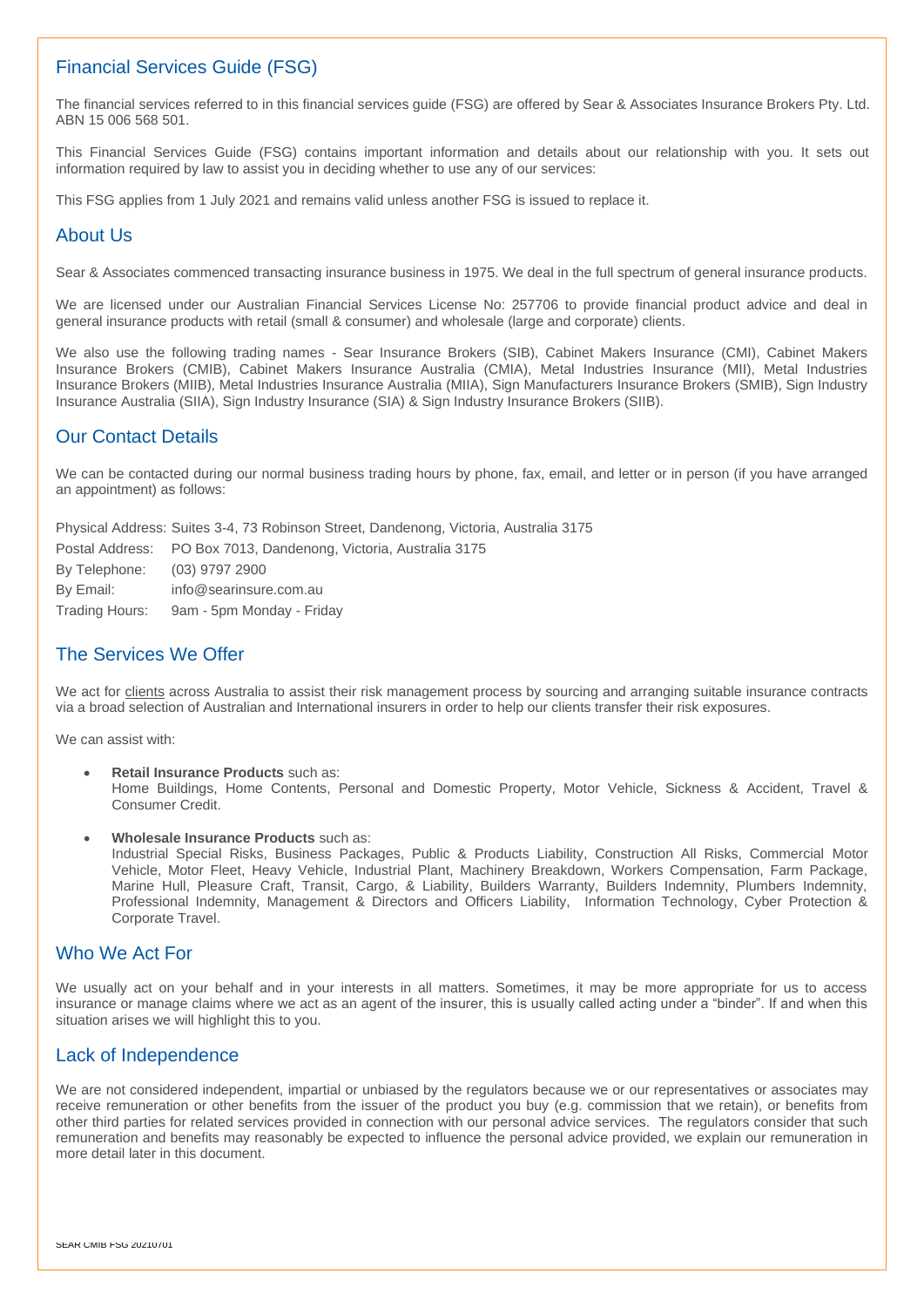#### Financial Services Guide (FSG)

The financial services referred to in this financial services guide (FSG) are offered by Sear & Associates Insurance Brokers Pty. Ltd. ABN 15 006 568 501.

This Financial Services Guide (FSG) contains important information and details about our relationship with you. It sets out information required by law to assist you in deciding whether to use any of our services:

This FSG applies from 1 July 2021 and remains valid unless another FSG is issued to replace it.

#### About Us

Sear & Associates commenced transacting insurance business in 1975. We deal in the full spectrum of general insurance products.

We are licensed under our Australian Financial Services License No: 257706 to provide financial product advice and deal in general insurance products with retail (small & consumer) and wholesale (large and corporate) clients.

We also use the following trading names - Sear Insurance Brokers (SIB), Cabinet Makers Insurance (CMI), Cabinet Makers Insurance Brokers (CMIB), Cabinet Makers Insurance Australia (CMIA), Metal Industries Insurance (MII), Metal Industries Insurance Brokers (MIIB), Metal Industries Insurance Australia (MIIA), Sign Manufacturers Insurance Brokers (SMIB), Sign Industry Insurance Australia (SIIA), Sign Industry Insurance (SIA) & Sign Industry Insurance Brokers (SIIB).

#### Our Contact Details

We can be contacted during our normal business trading hours by phone, fax, email, and letter or in person (if you have arranged an appointment) as follows:

Physical Address: Suites 3-4, 73 Robinson Street, Dandenong, Victoria, Australia 3175

|                | Postal Address: PO Box 7013, Dandenong, Victoria, Australia 3175 |
|----------------|------------------------------------------------------------------|
| By Telephone:  | (03) 9797 2900                                                   |
| By Email:      | info@searinsure.com.au                                           |
| Trading Hours: | 9am - 5pm Monday - Friday                                        |

### The Services We Offer

We act for clients across Australia to assist their risk management process by sourcing and arranging suitable insurance contracts via a broad selection of Australian and International insurers in order to help our clients transfer their risk exposures.

We can assist with:

- **Retail Insurance Products** such as: Home Buildings, Home Contents, Personal and Domestic Property, Motor Vehicle, Sickness & Accident, Travel & Consumer Credit.
- **Wholesale Insurance Products** such as: Industrial Special Risks, Business Packages, Public & Products Liability, Construction All Risks, Commercial Motor Vehicle, Motor Fleet, Heavy Vehicle, Industrial Plant, Machinery Breakdown, Workers Compensation, Farm Package, Marine Hull, Pleasure Craft, Transit, Cargo, & Liability, Builders Warranty, Builders Indemnity, Plumbers Indemnity, Professional Indemnity, Management & Directors and Officers Liability, Information Technology, Cyber Protection & Corporate Travel

#### Who We Act For

We usually act on your behalf and in your interests in all matters. Sometimes, it may be more appropriate for us to access insurance or manage claims where we act as an agent of the insurer, this is usually called acting under a "binder". If and when this situation arises we will highlight this to you.

#### Lack of Independence

We are not considered independent, impartial or unbiased by the regulators because we or our representatives or associates may receive remuneration or other benefits from the issuer of the product you buy (e.g. commission that we retain), or benefits from other third parties for related services provided in connection with our personal advice services. The regulators consider that such remuneration and benefits may reasonably be expected to influence the personal advice provided, we explain our remuneration in more detail later in this document.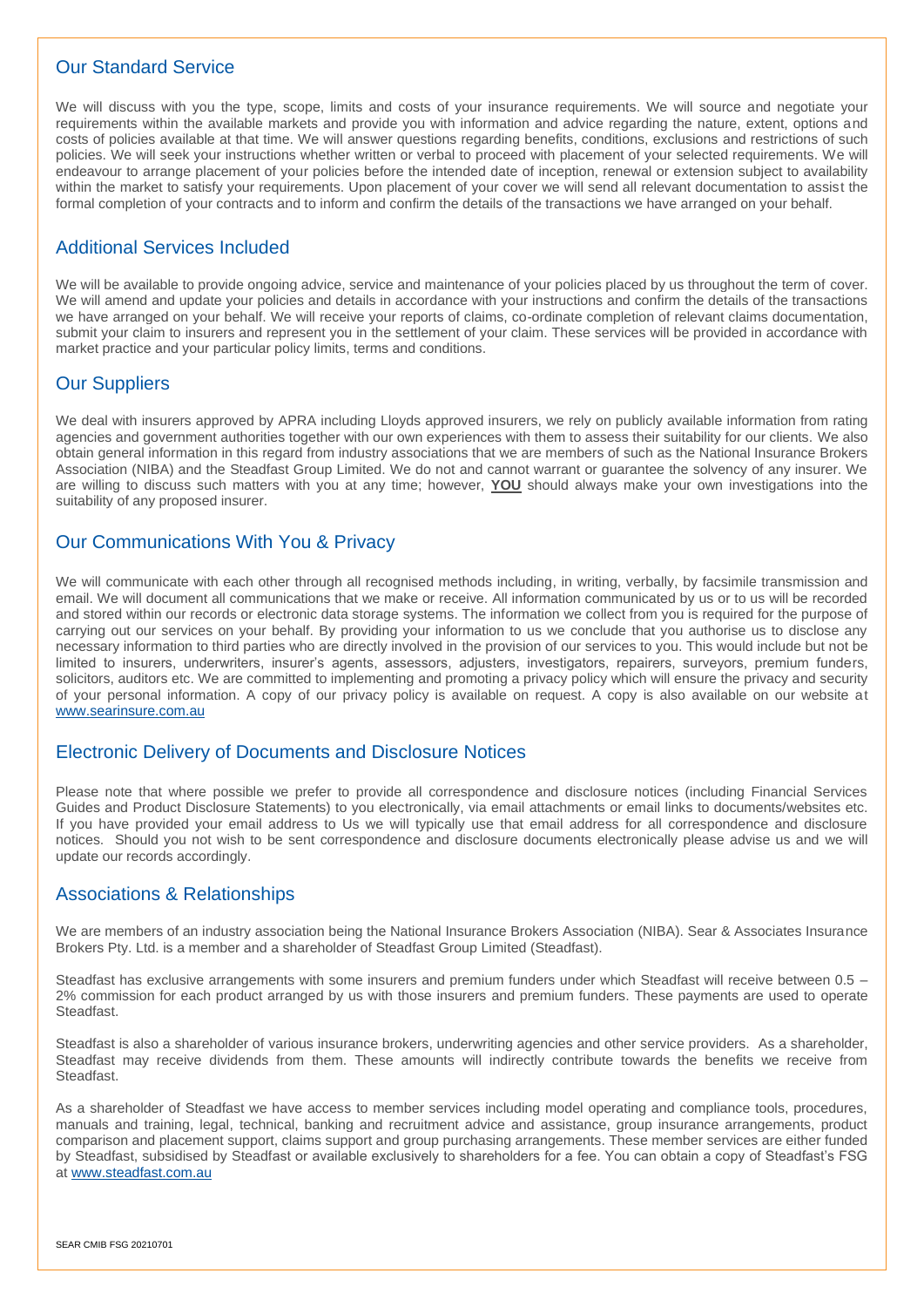#### Our Standard Service

We will discuss with you the type, scope, limits and costs of your insurance requirements. We will source and negotiate your requirements within the available markets and provide you with information and advice regarding the nature, extent, options and costs of policies available at that time. We will answer questions regarding benefits, conditions, exclusions and restrictions of such policies. We will seek your instructions whether written or verbal to proceed with placement of your selected requirements. We will endeavour to arrange placement of your policies before the intended date of inception, renewal or extension subject to availability within the market to satisfy your requirements. Upon placement of your cover we will send all relevant documentation to assist the formal completion of your contracts and to inform and confirm the details of the transactions we have arranged on your behalf.

### Additional Services Included

We will be available to provide ongoing advice, service and maintenance of your policies placed by us throughout the term of cover. We will amend and update your policies and details in accordance with your instructions and confirm the details of the transactions we have arranged on your behalf. We will receive your reports of claims, co-ordinate completion of relevant claims documentation, submit your claim to insurers and represent you in the settlement of your claim. These services will be provided in accordance with market practice and your particular policy limits, terms and conditions.

## Our Suppliers

We deal with insurers approved by APRA including Lloyds approved insurers, we rely on publicly available information from rating agencies and government authorities together with our own experiences with them to assess their suitability for our clients. We also obtain general information in this regard from industry associations that we are members of such as the National Insurance Brokers Association (NIBA) and the Steadfast Group Limited. We do not and cannot warrant or guarantee the solvency of any insurer. We are willing to discuss such matters with you at any time; however, **YOU** should always make your own investigations into the suitability of any proposed insurer.

#### Our Communications With You & Privacy

We will communicate with each other through all recognised methods including, in writing, verbally, by facsimile transmission and email. We will document all communications that we make or receive. All information communicated by us or to us will be recorded and stored within our records or electronic data storage systems. The information we collect from you is required for the purpose of carrying out our services on your behalf. By providing your information to us we conclude that you authorise us to disclose any necessary information to third parties who are directly involved in the provision of our services to you. This would include but not be limited to insurers, underwriters, insurer's agents, assessors, adjusters, investigators, repairers, surveyors, premium funders, solicitors, auditors etc. We are committed to implementing and promoting a privacy policy which will ensure the privacy and security of your personal information. A copy of our privacy policy is available on request. A copy is also available on our website at [www.searinsure.com.au](http://www.searinsure.com.au/)

#### Electronic Delivery of Documents and Disclosure Notices

Please note that where possible we prefer to provide all correspondence and disclosure notices (including Financial Services Guides and Product Disclosure Statements) to you electronically, via email attachments or email links to documents/websites etc. If you have provided your email address to Us we will typically use that email address for all correspondence and disclosure notices. Should you not wish to be sent correspondence and disclosure documents electronically please advise us and we will update our records accordingly.

#### Associations & Relationships

We are members of an industry association being the National Insurance Brokers Association (NIBA). Sear & Associates Insurance Brokers Pty. Ltd. is a member and a shareholder of Steadfast Group Limited (Steadfast).

Steadfast has exclusive arrangements with some insurers and premium funders under which Steadfast will receive between 0.5 – 2% commission for each product arranged by us with those insurers and premium funders. These payments are used to operate Steadfast.

Steadfast is also a shareholder of various insurance brokers, underwriting agencies and other service providers. As a shareholder, Steadfast may receive dividends from them. These amounts will indirectly contribute towards the benefits we receive from Steadfast.

As a shareholder of Steadfast we have access to member services including model operating and compliance tools, procedures, manuals and training, legal, technical, banking and recruitment advice and assistance, group insurance arrangements, product comparison and placement support, claims support and group purchasing arrangements. These member services are either funded by Steadfast, subsidised by Steadfast or available exclusively to shareholders for a fee. You can obtain a copy of Steadfast's FSG at [www.steadfast.com.au](http://www.steadfast.com.au/)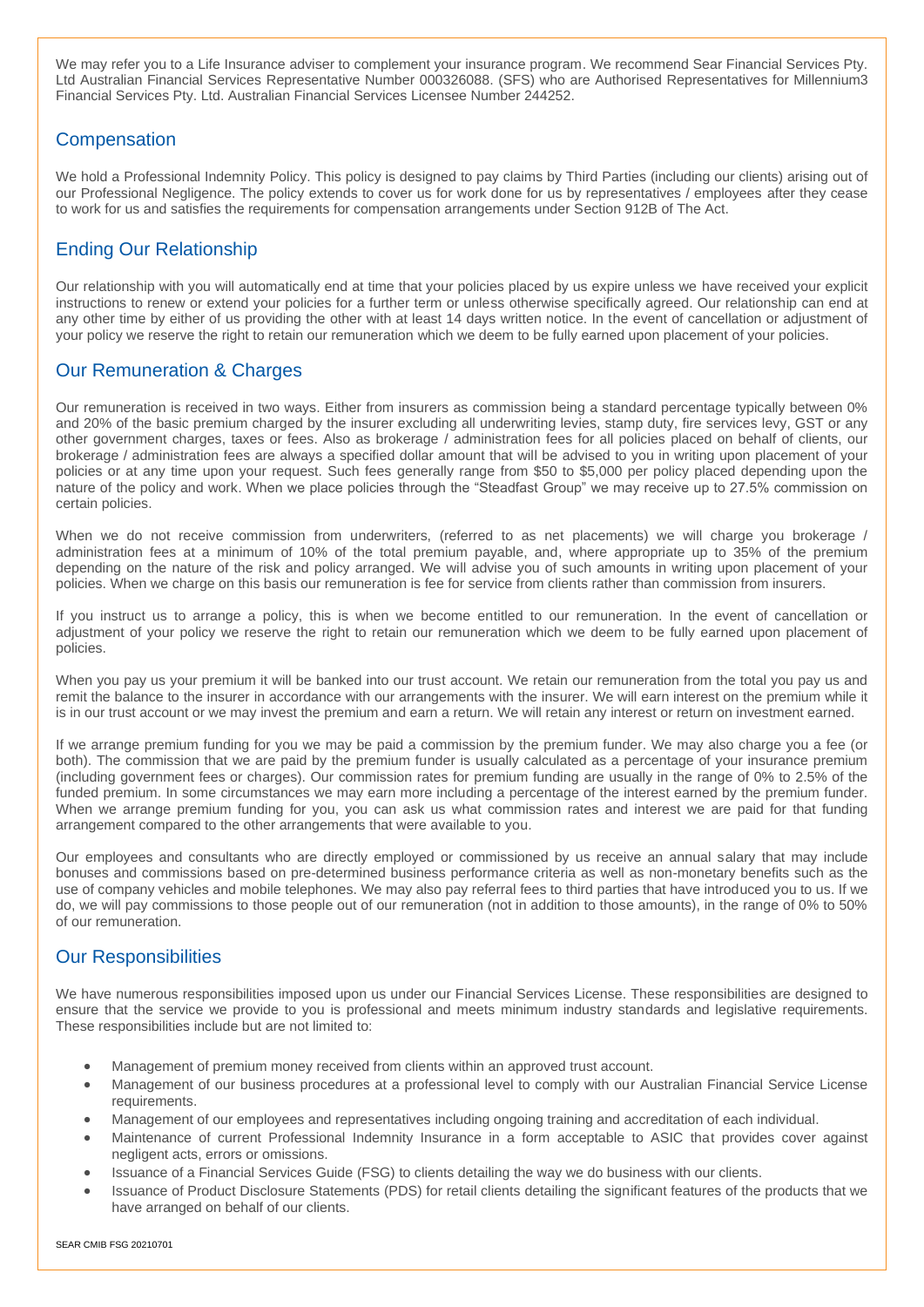We may refer you to a Life Insurance adviser to complement your insurance program. We recommend Sear Financial Services Pty. Ltd Australian Financial Services Representative Number 000326088. (SFS) who are Authorised Representatives for Millennium3 Financial Services Pty. Ltd. Australian Financial Services Licensee Number 244252.

## **Compensation**

We hold a Professional Indemnity Policy. This policy is designed to pay claims by Third Parties (including our clients) arising out of our Professional Negligence. The policy extends to cover us for work done for us by representatives / employees after they cease to work for us and satisfies the requirements for compensation arrangements under Section 912B of The Act.

## Ending Our Relationship

Our relationship with you will automatically end at time that your policies placed by us expire unless we have received your explicit instructions to renew or extend your policies for a further term or unless otherwise specifically agreed. Our relationship can end at any other time by either of us providing the other with at least 14 days written notice. In the event of cancellation or adjustment of your policy we reserve the right to retain our remuneration which we deem to be fully earned upon placement of your policies.

## Our Remuneration & Charges

Our remuneration is received in two ways. Either from insurers as commission being a standard percentage typically between 0% and 20% of the basic premium charged by the insurer excluding all underwriting levies, stamp duty, fire services levy, GST or any other government charges, taxes or fees. Also as brokerage / administration fees for all policies placed on behalf of clients, our brokerage / administration fees are always a specified dollar amount that will be advised to you in writing upon placement of your policies or at any time upon your request. Such fees generally range from \$50 to \$5,000 per policy placed depending upon the nature of the policy and work. When we place policies through the "Steadfast Group" we may receive up to 27.5% commission on certain policies.

When we do not receive commission from underwriters, (referred to as net placements) we will charge you brokerage / administration fees at a minimum of 10% of the total premium payable, and, where appropriate up to 35% of the premium depending on the nature of the risk and policy arranged. We will advise you of such amounts in writing upon placement of your policies. When we charge on this basis our remuneration is fee for service from clients rather than commission from insurers.

If you instruct us to arrange a policy, this is when we become entitled to our remuneration. In the event of cancellation or adjustment of your policy we reserve the right to retain our remuneration which we deem to be fully earned upon placement of policies.

When you pay us your premium it will be banked into our trust account. We retain our remuneration from the total you pay us and remit the balance to the insurer in accordance with our arrangements with the insurer. We will earn interest on the premium while it is in our trust account or we may invest the premium and earn a return. We will retain any interest or return on investment earned.

If we arrange premium funding for you we may be paid a commission by the premium funder. We may also charge you a fee (or both). The commission that we are paid by the premium funder is usually calculated as a percentage of your insurance premium (including government fees or charges). Our commission rates for premium funding are usually in the range of 0% to 2.5% of the funded premium. In some circumstances we may earn more including a percentage of the interest earned by the premium funder. When we arrange premium funding for you, you can ask us what commission rates and interest we are paid for that funding arrangement compared to the other arrangements that were available to you.

Our employees and consultants who are directly employed or commissioned by us receive an annual salary that may include bonuses and commissions based on pre-determined business performance criteria as well as non-monetary benefits such as the use of company vehicles and mobile telephones. We may also pay referral fees to third parties that have introduced you to us. If we do, we will pay commissions to those people out of our remuneration (not in addition to those amounts), in the range of 0% to 50% of our remuneration.

## Our Responsibilities

We have numerous responsibilities imposed upon us under our Financial Services License. These responsibilities are designed to ensure that the service we provide to you is professional and meets minimum industry standards and legislative requirements. These responsibilities include but are not limited to:

- Management of premium money received from clients within an approved trust account.
- Management of our business procedures at a professional level to comply with our Australian Financial Service License requirements.
- Management of our employees and representatives including ongoing training and accreditation of each individual.
- Maintenance of current Professional Indemnity Insurance in a form acceptable to ASIC that provides cover against negligent acts, errors or omissions.
- Issuance of a Financial Services Guide (FSG) to clients detailing the way we do business with our clients.
- Issuance of Product Disclosure Statements (PDS) for retail clients detailing the significant features of the products that we have arranged on behalf of our clients.